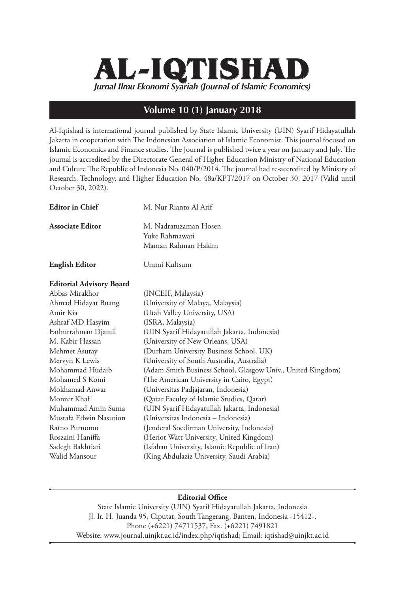## *Jurnal Ilmu Ekonomi Syariah (Journal of Islamic Economics)* **AL-IQTISHAD**

## **Volume 10 (1) January 2018**

Al-Iqtishad is international journal published by State Islamic University (UIN) Syarif Hidayatullah Jakarta in cooperation with The Indonesian Association of Islamic Economist. This journal focused on Islamic Economics and Finance studies. The Journal is published twice a year on January and July. The journal is accredited by the Directorate General of Higher Education Ministry of National Education and Culture The Republic of Indonesia No. 040/P/2014. The journal had re-accredited by Ministry of Research, Technology, and Higher Education No. 48a/KPT/2017 on October 30, 2017 (Valid until October 30, 2022).

| <b>Editor</b> in Chief          | M. Nur Rianto Al Arif                                         |
|---------------------------------|---------------------------------------------------------------|
| <b>Associate Editor</b>         | M. Nadratuzaman Hosen<br>Yuke Rahmawati<br>Maman Rahman Hakim |
| <b>English Editor</b>           | Ummi Kultsum                                                  |
| <b>Editorial Advisory Board</b> |                                                               |
| Abbas Mirakhor                  | (INCEIF, Malaysia)                                            |
| Ahmad Hidayat Buang             | (University of Malaya, Malaysia)                              |
| Amir Kia                        | (Utah Valley University, USA)                                 |
| Ashraf MD Hasyim                | (ISRA, Malaysia)                                              |
| Fathurrahman Djamil             | (UIN Syarif Hidayatullah Jakarta, Indonesia)                  |
| M. Kabir Hassan                 | (University of New Orleans, USA)                              |
| Mehmet Asutay                   | (Durham University Business School, UK)                       |
| Mervyn K Lewis                  | (University of South Australia, Australia)                    |
| Mohammad Hudaib                 | (Adam Smith Business School, Glasgow Univ., United Kingdom)   |
| Mohamed S Komi                  | (The American University in Cairo, Egypt)                     |
| Mokhamad Anwar                  | (Universitas Padjajaran, Indonesia)                           |
| Monzer Khaf                     | (Qatar Faculty of Islamic Studies, Qatar)                     |
| Muhammad Amin Suma              | (UIN Syarif Hidayatullah Jakarta, Indonesia)                  |
| Mustafa Edwin Nasution          | (Universitas Indonesia – Indonesia)                           |
| Ratno Purnomo                   | (Jenderal Soedirman University, Indonesia)                    |
| Roszaini Haniffa                | (Heriot Watt University, United Kingdom)                      |
| Sadegh Bakhtiari                | (Isfahan University, Islamic Republic of Iran)                |
| Walid Mansour                   | (King Abdulaziz University, Saudi Arabia)                     |

## **Editorial Office**

State Islamic University (UIN) Syarif Hidayatullah Jakarta, Indonesia Jl. Ir. H. Juanda 95, Ciputat, South Tangerang, Banten, Indonesia -15412-. Phone (+6221) 74711537, Fax. (+6221) 7491821 Website: www.journal.uinjkt.ac.id/index.php/iqtishad; Email: iqtishad@uinjkt.ac.id